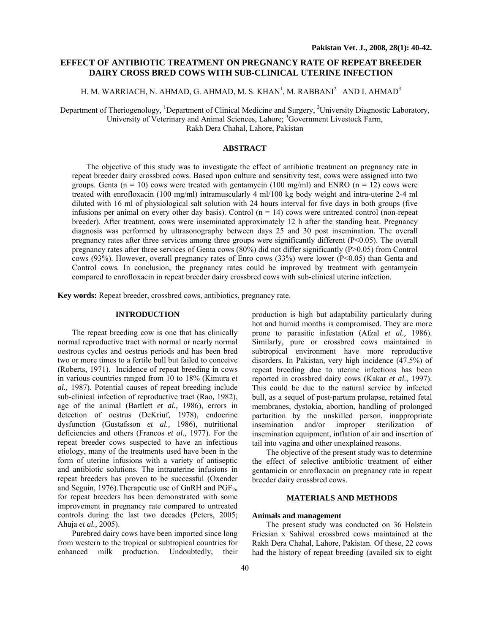# **EFFECT OF ANTIBIOTIC TREATMENT ON PREGNANCY RATE OF REPEAT BREEDER DAIRY CROSS BRED COWS WITH SUB-CLINICAL UTERINE INFECTION**

# H. M. WARRIACH, N. AHMAD, G. AHMAD, M. S. KHAN $^{\rm l}$ , M. RABBANI $^{\rm 2}~$  AND I. AHMAD $^{\rm 3}~$

Department of Theriogenology, <sup>1</sup>Department of Clinical Medicine and Surgery, <sup>2</sup>University Diagnostic Laboratory, University of Veterinary and Animal Sciences, Lahore; <sup>3</sup>Government Livestock Farm, Rakh Dera Chahal, Lahore, Pakistan

## **ABSTRACT**

The objective of this study was to investigate the effect of antibiotic treatment on pregnancy rate in repeat breeder dairy crossbred cows. Based upon culture and sensitivity test, cows were assigned into two groups. Genta ( $n = 10$ ) cows were treated with gentamycin (100 mg/ml) and ENRO ( $n = 12$ ) cows were treated with enrofloxacin (100 mg/ml) intramuscularly 4 ml/100 kg body weight and intra-uterine 2-4 ml diluted with 16 ml of physiological salt solution with 24 hours interval for five days in both groups (five infusions per animal on every other day basis). Control  $(n = 14)$  cows were untreated control (non-repeat breeder). After treatment, cows were inseminated approximately 12 h after the standing heat. Pregnancy diagnosis was performed by ultrasonography between days 25 and 30 post insemination. The overall pregnancy rates after three services among three groups were significantly different (P<0.05). The overall pregnancy rates after three services of Genta cows (80%) did not differ significantly (P>0.05) from Control cows (93%). However, overall pregnancy rates of Enro cows (33%) were lower (P<0.05) than Genta and Control cows*.* In conclusion, the pregnancy rates could be improved by treatment with gentamycin compared to enrofloxacin in repeat breeder dairy crossbred cows with sub-clinical uterine infection.

**Key words:** Repeat breeder, crossbred cows, antibiotics, pregnancy rate.

### **INTRODUCTION**

The repeat breeding cow is one that has clinically normal reproductive tract with normal or nearly normal oestrous cycles and oestrus periods and has been bred two or more times to a fertile bull but failed to conceive (Roberts, 1971). Incidence of repeat breeding in cows in various countries ranged from 10 to 18% (Kimura *et al.,* 1987). Potential causes of repeat breeding include sub-clinical infection of reproductive tract (Rao*,* 1982), age of the animal (Bartlett *et al.,* 1986), errors in detection of oestrus (DeKriuf, 1978), endocrine dysfunction (Gustafsson *et al.,* 1986), nutritional deficiencies and others (Francos *et al.,* 1977). For the repeat breeder cows suspected to have an infectious etiology, many of the treatments used have been in the form of uterine infusions with a variety of antiseptic and antibiotic solutions. The intrauterine infusions in repeat breeders has proven to be successful (Oxender and Seguin, 1976). Therapeutic use of GnRH and  $PGF_{2\alpha}$ for repeat breeders has been demonstrated with some improvement in pregnancy rate compared to untreated controls during the last two decades (Peters, 2005; Ahuja *et al.,* 2005).

Purebred dairy cows have been imported since long from western to the tropical or subtropical countries for enhanced milk production. Undoubtedly, their

production is high but adaptability particularly during hot and humid months is compromised. They are more prone to parasitic infestation (Afzal *et al.,* 1986). Similarly, pure or crossbred cows maintained in subtropical environment have more reproductive disorders. In Pakistan, very high incidence (47.5%) of repeat breeding due to uterine infections has been reported in crossbred dairy cows (Kakar *et al.,* 1997). This could be due to the natural service by infected bull, as a sequel of post-partum prolapse, retained fetal membranes, dystokia, abortion, handling of prolonged parturition by the unskilled person, inappropriate insemination and/or improper sterilization of insemination equipment, inflation of air and insertion of tail into vagina and other unexplained reasons.

The objective of the present study was to determine the effect of selective antibiotic treatment of either gentamicin or enrofloxacin on pregnancy rate in repeat breeder dairy crossbred cows.

#### **MATERIALS AND METHODS**

#### **Animals and management**

The present study was conducted on 36 Holstein Friesian x Sahiwal crossbred cows maintained at the Rakh Dera Chahal, Lahore, Pakistan. Of these, 22 cows had the history of repeat breeding (availed six to eight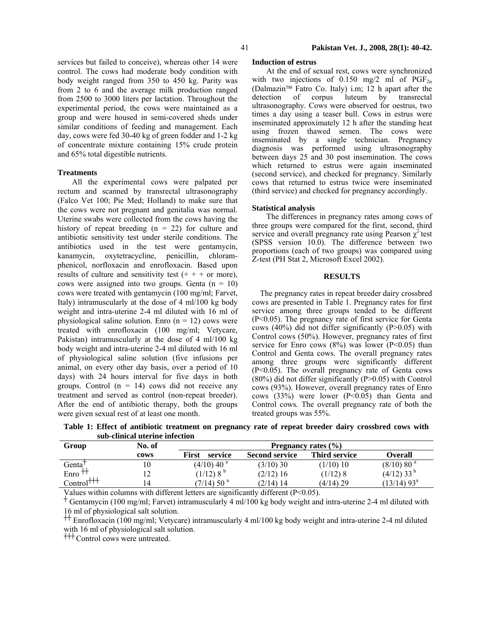services but failed to conceive), whereas other 14 were control. The cows had moderate body condition with body weight ranged from 350 to 450 kg. Parity was from 2 to 6 and the average milk production ranged from 2500 to 3000 liters per lactation. Throughout the experimental period, the cows were maintained as a group and were housed in semi-covered sheds under similar conditions of feeding and management. Each day, cows were fed 30-40 kg of green fodder and 1-2 kg of concentrate mixture containing 15% crude protein and 65% total digestible nutrients.

## **Treatments**

All the experimental cows were palpated per rectum and scanned by transrectal ultrasonography (Falco Vet 100; Pie Med; Holland) to make sure that the cows were not pregnant and genitalia was normal. Uterine swabs were collected from the cows having the history of repeat breeding  $(n = 22)$  for culture and antibiotic sensitivity test under sterile conditions. The antibiotics used in the test were gentamycin, kanamycin, oxytetracycline, penicillin, chloramphenicol, norfloxacin and enrofloxacin. Based upon results of culture and sensitivity test  $(+ + + or$  more), cows were assigned into two groups. Genta  $(n = 10)$ cows were treated with gentamycin (100 mg/ml; Farvet, Italy) intramuscularly at the dose of 4 ml/100 kg body weight and intra-uterine 2-4 ml diluted with 16 ml of physiological saline solution. Enro  $(n = 12)$  cows were treated with enrofloxacin (100 mg/ml; Vetycare, Pakistan) intramuscularly at the dose of 4 ml/100 kg body weight and intra-uterine 2-4 ml diluted with 16 ml of physiological saline solution (five infusions per animal, on every other day basis, over a period of 10 days) with 24 hours interval for five days in both groups. Control  $(n = 14)$  cows did not receive any treatment and served as control (non-repeat breeder). After the end of antibiotic therapy, both the groups were given sexual rest of at least one month.

## **Induction of estrus**

At the end of sexual rest, cows were synchronized with two injections of 0.150 mg/2 ml of  $PGF_{2a}$ (Dalmazin™ Fatro Co. Italy) i.m; 12 h apart after the detection of corpus luteum by transrectal ultrasonography. Cows were observed for oestrus, two times a day using a teaser bull. Cows in estrus were inseminated approximately 12 h after the standing heat using frozen thawed semen. The cows were inseminated by a single technician. Pregnancy diagnosis was performed using ultrasonography between days 25 and 30 post insemination. The cows which returned to estrus were again inseminated (second service), and checked for pregnancy. Similarly cows that returned to estrus twice were inseminated (third service) and checked for pregnancy accordingly.

### **Statistical analysis**

The differences in pregnancy rates among cows of three groups were compared for the first, second, third service and overall pregnancy rate using Pearson  $\chi^2$  test (SPSS version 10.0). The difference between two proportions (each of two groups) was compared using Z-test (PH Stat 2, Microsoft Excel 2002).

## **RESULTS**

 The pregnancy rates in repeat breeder dairy crossbred cows are presented in Table 1. Pregnancy rates for first service among three groups tended to be different (P<0.05). The pregnancy rate of first service for Genta cows (40%) did not differ significantly (P>0.05) with Control cows (50%). However, pregnancy rates of first service for Enro cows  $(8\%)$  was lower  $(P<0.05)$  than Control and Genta cows. The overall pregnancy rates among three groups were significantly different (P<0.05). The overall pregnancy rate of Genta cows  $(80\%)$  did not differ significantly  $(P>0.05)$  with Control cows (93%). However, overall pregnancy rates of Enro cows (33%) were lower (P<0.05) than Genta and Control cows*.* The overall pregnancy rate of both the treated groups was 55%.

| sub-chincal uterine mitetion |        |                          |                       |               |                           |
|------------------------------|--------|--------------------------|-----------------------|---------------|---------------------------|
| Group                        | No. of | Pregnancy rates $(\% )$  |                       |               |                           |
|                              | cows   | First<br>service         | <b>Second service</b> | Third service | Overall                   |
| Genta <sup>†</sup>           |        | $(4/10)$ 40 <sup>a</sup> | $(3/10)$ 30           | $(1/10)$ 10   | (8/10) 80 <sup>a</sup>    |
| Enro <sup>-</sup>            |        | $(1/12)8^b$              | $(2/12)$ 16           | $(1/12)$ 8    | $(4/12)$ 33 <sup>b</sup>  |
| $Control^{\dagger\dagger}$   | 14     | $(7/14)$ 50 <sup>a</sup> | $(2/14)$ 14           | $(4/14)$ 29   | $(13/14)$ 93 <sup>a</sup> |

**Table 1: Effect of antibiotic treatment on pregnancy rate of repeat breeder dairy crossbred cows with sub-clinical uterine infection** 

Values within columns with different letters are significantly different (P<0.05).  $+$  Gentamycin (100 mg/ml; Farvet) intramuscularly 4 ml/100 kg body weight and intra-uterine 2-4 ml diluted with 16 ml of physiological salt solution.

 $\pm$  Enrofloxacin (100 mg/ml; Vetycare) intramuscularly 4 ml/100 kg body weight and intra-uterine 2-4 ml diluted with 16 ml of physiological salt solution.

<sup>†††</sup> Control cows were untreated.